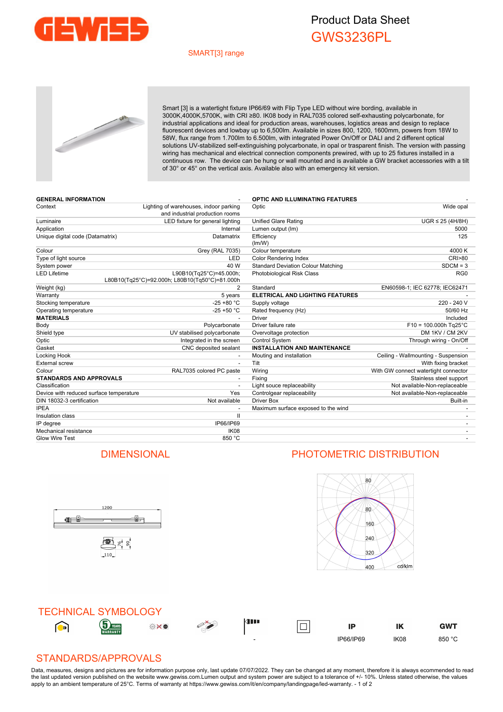

## Product Data Sheet GWS3236PL

## SMART[3] range



Smart [3] is a watertight fixture IP66/69 with Flip Type LED without wire bording, available in 3000K,4000K,5700K, with CRI ≥80. IK08 body in RAL7035 colored self-exhausting polycarbonate, for industrial applications and ideal for production areas, warehouses, logistics areas and design to replace fluorescent devices and lowbay up to 6,500lm. Available in sizes 800, 1200, 1600mm, powers from 18W to 58W, flux range from 1.700lm to 6.500lm, with integrated Power On/Off or DALI and 2 different optical solutions UV-stabilized self-extinguishing polycarbonate, in opal or trasparent finish. The version with passing wiring has mechanical and electrical connection components prewired, with up to 25 fixtures installed in a continuous row. The device can be hung or wall mounted and is available a GW bracket accessories with a tilt of 30° or 45° on the vertical axis. Available also with an emergency kit version.

| <b>GENERAL INFORMATION</b>              |                                                                           | <b>OPTIC AND ILLUMINATING FEATURES</b>    |                                      |
|-----------------------------------------|---------------------------------------------------------------------------|-------------------------------------------|--------------------------------------|
| Context                                 | Lighting of warehouses, indoor parking<br>and industrial production rooms | Optic                                     | Wide opal                            |
| Luminaire                               | LED fixture for general lighting                                          | <b>Unified Glare Rating</b>               | $UGR \leq 25$ (4H/8H)                |
| Application                             | Internal                                                                  | Lumen output (Im)                         | 5000                                 |
| Unique digital code (Datamatrix)        | Datamatrix                                                                | Efficiency<br>(lm/W)                      | 125                                  |
| Colour                                  | <b>Grey (RAL 7035)</b>                                                    | Colour temperature                        | 4000 K                               |
| Type of light source                    | <b>LED</b>                                                                | <b>Color Rendering Index</b>              | <b>CRI&gt;80</b>                     |
| System power                            | 40 W                                                                      | <b>Standard Deviation Colour Matching</b> | $SDCM = 3$                           |
| <b>LED Lifetime</b>                     | L90B10(Tg25°C)=45.000h;<br>L80B10(Tq25°C)=92.000h; L80B10(Tq50°C)=81.000h | <b>Photobiological Risk Class</b>         | RG <sub>0</sub>                      |
| Weight (kg)                             | 2                                                                         | Standard                                  | EN60598-1; IEC 62778; IEC62471       |
| Warranty                                | 5 years                                                                   | ELETRICAL AND LIGHTING FEATURES           |                                      |
| Stocking temperature                    | $-25 + 80 °C$                                                             | Supply voltage                            | 220 - 240 V                          |
| Operating temperature                   | $-25 + 50$ °C                                                             | Rated frequency (Hz)                      | 50/60 Hz                             |
| <b>MATERIALS</b>                        |                                                                           | Driver                                    | Included                             |
| Body                                    | Polycarbonate                                                             | Driver failure rate                       | $F10 = 100.000h$ Tg25°C              |
| Shield type                             | UV stabilised polycarbonate                                               | Overvoltage protection                    | DM 1KV / CM 2KV                      |
| Optic                                   | Integrated in the screen                                                  | Control System                            | Through wiring - On/Off              |
| Gasket                                  | CNC deposited sealant                                                     | <b>INSTALLATION AND MAINTENANCE</b>       |                                      |
| Locking Hook                            |                                                                           | Mouting and installation                  | Ceiling - Wallmounting - Suspension  |
| <b>External screw</b>                   | $\overline{\phantom{a}}$                                                  | Tilt                                      | With fixing bracket                  |
| Colour                                  | RAL7035 colored PC paste                                                  | Wiring                                    | With GW connect watertight connector |
| <b>STANDARDS AND APPROVALS</b>          |                                                                           | Fixing                                    | Stainless steel support              |
| Classification                          |                                                                           | Light souce replaceability                | Not available-Non-replaceable        |
| Device with reduced surface temperature | Yes                                                                       | Controlgear replaceability                | Not available-Non-replaceable        |
| DIN 18032-3 certification               | Not available                                                             | <b>Driver Box</b>                         | Built-in                             |
| <b>IPEA</b>                             |                                                                           | Maximum surface exposed to the wind       |                                      |
| Insulation class                        | $\mathbf{H}$                                                              |                                           |                                      |
| IP degree                               | IP66/IP69                                                                 |                                           | $\overline{\phantom{a}}$             |
| Mechanical resistance                   | IK <sub>08</sub>                                                          |                                           |                                      |
| <b>Glow Wire Test</b>                   | 850 °C                                                                    |                                           |                                      |

## DIMENSIONAL PHOTOMETRIC DISTRIBUTION

ů.

1200

雪片。

110

<u>ge j</u>





## STANDARDS/APPROVALS

Data, measures, designs and pictures are for information purpose only, last update 07/07/2022. They can be changed at any moment, therefore it is always ecommended to read the last updated version published on the website www.gewiss.com.Lumen output and system power are subject to a tolerance of +/- 10%. Unless stated otherwise, the values apply to an ambient temperature of 25°C. Terms of warranty at https://www.gewiss.com/it/en/company/landingpage/led-warranty. - 1 of 2